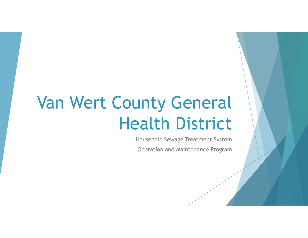# Van Wert County General Health District

Household Sewage Treatment System

Operation and Maintenance Program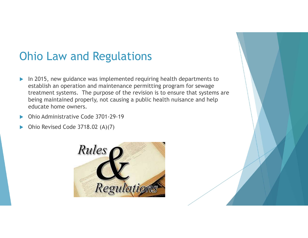#### Ohio Law and Regulations

- In 2015, new guidance was implemented requiring health departments to establish an operation and maintenance permitting program for sewage treatment systems. The purpose of the revision is to ensure that systems are being maintained properly, not causing a public health nuisance and help educate home owners.
- Ohio Administrative Code 3701-29-19
- Ohio Revised Code 3718.02 (A)(7)

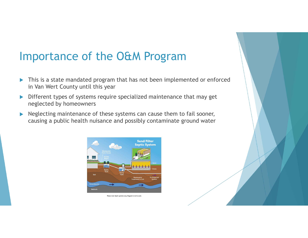#### Importance of the O&M Program

- **This is a state mandated program that has not been implemented or enforced** in Van Wert County until this year
- Different types of systems require specialized maintenance that may get neglected by homeowners
- $\blacktriangleright$  Neglecting maintenance of these systems can cause them to fail sooner, causing a public health nuisance and possibly contaminate ground water



se note: Septic systems vary. Diagram is not to s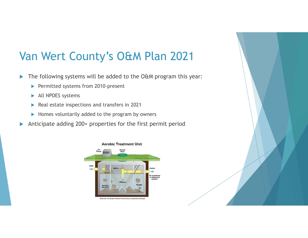## Van Wert County's O&M Plan 2021

- The following systems will be added to the O&M program this year:
	- Permitted systems from 2010-present
	- All NPDES systems
	- Real estate inspections and transfers in 2021
	- $\blacktriangleright$  Homes voluntarily added to the program by owners
- Anticipate adding 200+ properties for the first permit period



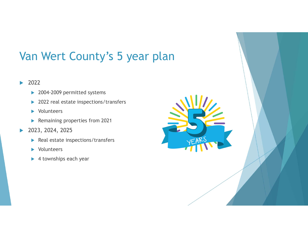### Van Wert County's 5 year plan

#### ▶ 2022

- ▶ 2004-2009 permitted systems
- ▶ 2022 real estate inspections/transfers
- **Nolunteers**
- **Remaining properties from 2021**
- 2023, 2024, 2025
	- $\blacktriangleright$  Real estate inspections/transfers
	- **Nolunteers**
	- ▶ 4 townships each year

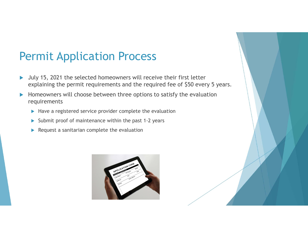#### Permit Application Process

- ▶ July 15, 2021 the selected homeowners will receive their first letter explaining the permit requirements and the required fee of \$50 every 5 years.
- Homeowners will choose between three options to satisfy the evaluation requirements
	- $\blacktriangleright$  Have a registered service provider complete the evaluation
	- $\triangleright$  Submit proof of maintenance within the past 1-2 years
	- $\blacktriangleright$  Request a sanitarian complete the evaluation

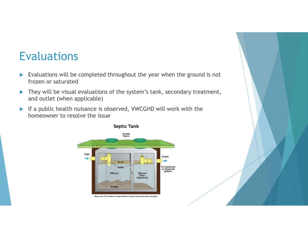#### Evaluations

- $\blacktriangleright$  Evaluations will be completed throughout the year when the ground is not frozen or saturated
- ▶ They will be visual evaluations of the system's tank, secondary treatment, and outlet (when applicable)
- If a public health nuisance is observed, VWCGHD will work with the homeowner to resolve the issue



#### **Septic Tank**

Please note: The number of compartments in a septic tank vary by state and region.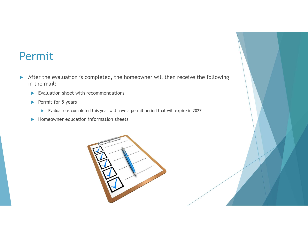#### Permit

- After the evaluation is completed, the homeowner will then receive the following in the mail:
	- $\blacktriangleright$  Evaluation sheet with recommendations
	- $\blacktriangleright$  Permit for 5 years
		- Evaluations completed this year will have a permit period that will expire in 2027
	- $\blacktriangleright$  Homeowner education information sheets